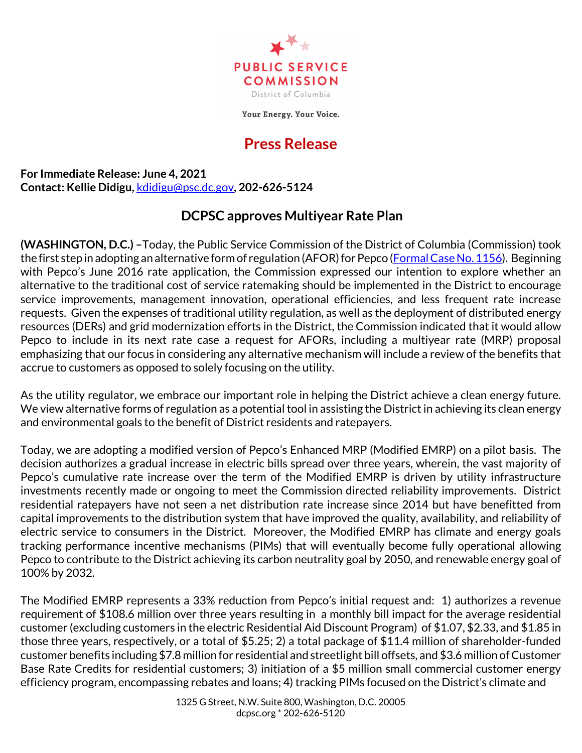

Your Energy. Your Voice.

## **Press Release**

**For Immediate Release: June 4, 2021 Contact: Kellie Didigu,** [kdidigu@psc.dc.gov](mailto:kdidigu@psc.dc.gov)**, 202-626-5124**

## **DCPSC approves Multiyear Rate Plan**

**(WASHINGTON, D.C.) –**Today, the Public Service Commission of the District of Columbia (Commission) took the first step in adopting an alternative form of regulation (AFOR) for Pepco [\(Formal Case No. 1156\)](https://edocket.dcpsc.org/public/search/casenumber/fc1156). Beginning with Pepco's June 2016 rate application, the Commission expressed our intention to explore whether an alternative to the traditional cost of service ratemaking should be implemented in the District to encourage service improvements, management innovation, operational efficiencies, and less frequent rate increase requests. Given the expenses of traditional utility regulation, as well as the deployment of distributed energy resources (DERs) and grid modernization efforts in the District, the Commission indicated that it would allow Pepco to include in its next rate case a request for AFORs, including a multiyear rate (MRP) proposal emphasizing that our focus in considering any alternative mechanism will include a review of the benefits that accrue to customers as opposed to solely focusing on the utility.

As the utility regulator, we embrace our important role in helping the District achieve a clean energy future. We view alternative forms of regulation as a potential tool in assisting the District in achieving its clean energy and environmental goals to the benefit of District residents and ratepayers.

Today, we are adopting a modified version of Pepco's Enhanced MRP (Modified EMRP) on a pilot basis. The decision authorizes a gradual increase in electric bills spread over three years, wherein, the vast majority of Pepco's cumulative rate increase over the term of the Modified EMRP is driven by utility infrastructure investments recently made or ongoing to meet the Commission directed reliability improvements. District residential ratepayers have not seen a net distribution rate increase since 2014 but have benefitted from capital improvements to the distribution system that have improved the quality, availability, and reliability of electric service to consumers in the District. Moreover, the Modified EMRP has climate and energy goals tracking performance incentive mechanisms (PIMs) that will eventually become fully operational allowing Pepco to contribute to the District achieving its carbon neutrality goal by 2050, and renewable energy goal of 100% by 2032.

The Modified EMRP represents a 33% reduction from Pepco's initial request and: 1) authorizes a revenue requirement of \$108.6 million over three years resulting in a monthly bill impact for the average residential customer (excluding customers in the electric Residential Aid Discount Program) of \$1.07, \$2.33, and \$1.85 in those three years, respectively, or a total of \$5.25; 2) a total package of \$11.4 million of shareholder-funded customer benefits including \$7.8 million for residential and streetlight bill offsets, and \$3.6 million of Customer Base Rate Credits for residential customers; 3) initiation of a \$5 million small commercial customer energy efficiency program, encompassing rebates and loans; 4) tracking PIMs focused on the District's climate and